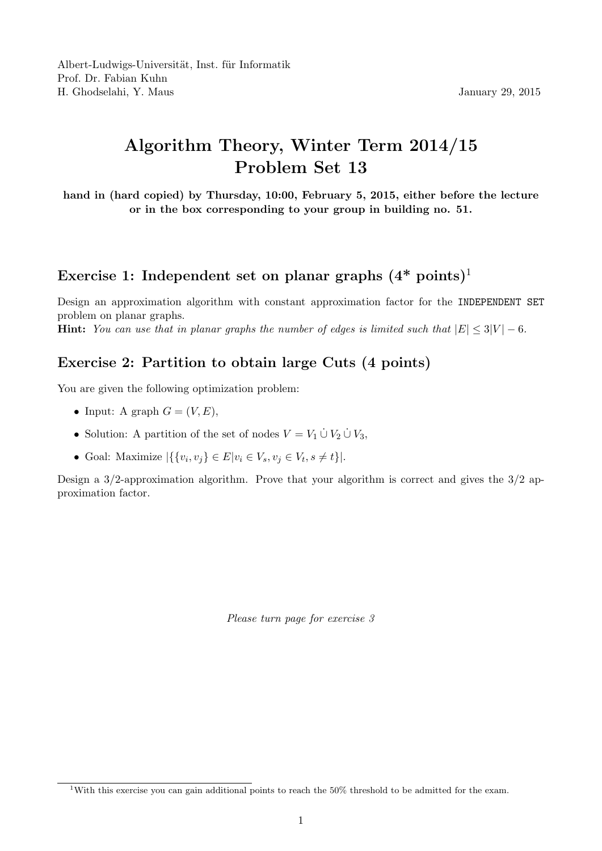## Algorithm Theory, Winter Term 2014/15 Problem Set 13

hand in (hard copied) by Thursday, 10:00, February 5, 2015, either before the lecture or in the box corresponding to your group in building no. 51.

## Exercise 1: Independent set on planar graphs  $(4^* \text{ points})^1$

Design an approximation algorithm with constant approximation factor for the INDEPENDENT SET problem on planar graphs. **Hint:** You can use that in planar graphs the number of edges is limited such that  $|E| \le 3|V| - 6$ .

## Exercise 2: Partition to obtain large Cuts (4 points)

You are given the following optimization problem:

- Input: A graph  $G = (V, E)$ ,
- Solution: A partition of the set of nodes  $V = V_1 \cup V_2 \cup V_3$ ,
- Goal: Maximize  $|\{\{v_i, v_j\} \in E | v_i \in V_s, v_j \in V_t, s \neq t\}|$ .

Design a 3/2-approximation algorithm. Prove that your algorithm is correct and gives the 3/2 approximation factor.

Please turn page for exercise 3

<sup>1</sup>With this exercise you can gain additional points to reach the 50% threshold to be admitted for the exam.